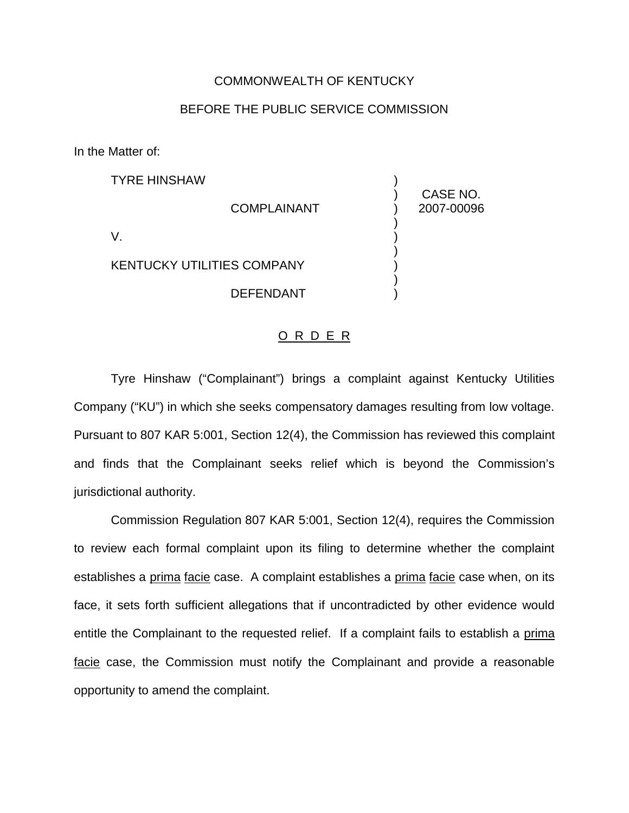## COMMONWEALTH OF KENTUCKY

## BEFORE THE PUBLIC SERVICE COMMISSION

In the Matter of:

| <b>TYRE HINSHAW</b>               |                    | CASE NO.   |
|-----------------------------------|--------------------|------------|
|                                   | <b>COMPLAINANT</b> | 2007-00096 |
| V                                 |                    |            |
| <b>KENTUCKY UTILITIES COMPANY</b> |                    |            |
|                                   | <b>DEFENDANT</b>   |            |

## O R D E R

Tyre Hinshaw ("Complainant") brings a complaint against Kentucky Utilities Company ("KU") in which she seeks compensatory damages resulting from low voltage. Pursuant to 807 KAR 5:001, Section 12(4), the Commission has reviewed this complaint and finds that the Complainant seeks relief which is beyond the Commission's jurisdictional authority.

Commission Regulation 807 KAR 5:001, Section 12(4), requires the Commission to review each formal complaint upon its filing to determine whether the complaint establishes a prima facie case. A complaint establishes a prima facie case when, on its face, it sets forth sufficient allegations that if uncontradicted by other evidence would entitle the Complainant to the requested relief. If a complaint fails to establish a prima facie case, the Commission must notify the Complainant and provide a reasonable opportunity to amend the complaint.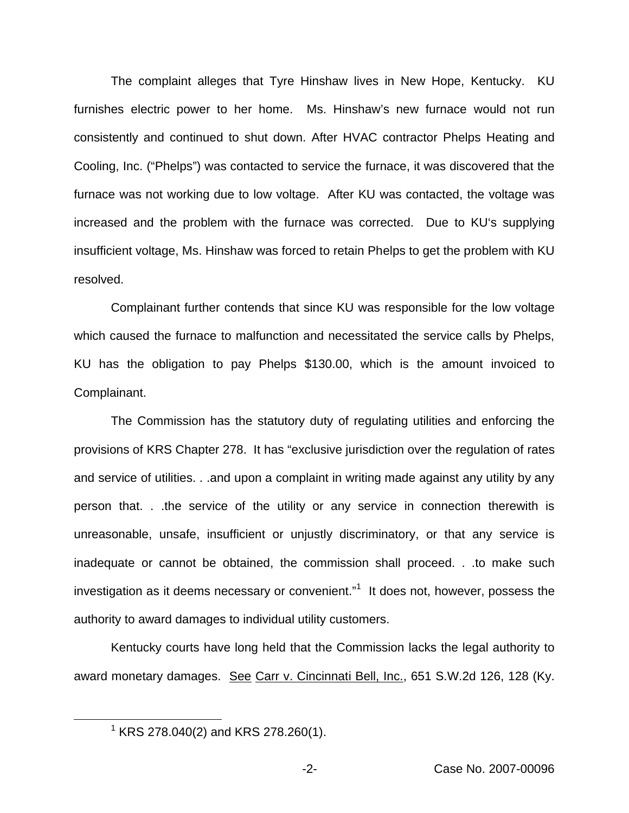The complaint alleges that Tyre Hinshaw lives in New Hope, Kentucky. KU furnishes electric power to her home. Ms. Hinshaw's new furnace would not run consistently and continued to shut down. After HVAC contractor Phelps Heating and Cooling, Inc. ("Phelps") was contacted to service the furnace, it was discovered that the furnace was not working due to low voltage. After KU was contacted, the voltage was increased and the problem with the furnace was corrected. Due to KU's supplying insufficient voltage, Ms. Hinshaw was forced to retain Phelps to get the problem with KU resolved.

Complainant further contends that since KU was responsible for the low voltage which caused the furnace to malfunction and necessitated the service calls by Phelps, KU has the obligation to pay Phelps \$130.00, which is the amount invoiced to Complainant.

The Commission has the statutory duty of regulating utilities and enforcing the provisions of KRS Chapter 278. It has "exclusive jurisdiction over the regulation of rates and service of utilities. . .and upon a complaint in writing made against any utility by any person that. . .the service of the utility or any service in connection therewith is unreasonable, unsafe, insufficient or unjustly discriminatory, or that any service is inadequate or cannot be obtained, the commission shall proceed. . .to make such investigation as it deems necessary or convenient." $1$  It does not, however, possess the authority to award damages to individual utility customers.

Kentucky courts have long held that the Commission lacks the legal authority to award monetary damages. See Carr v. Cincinnati Bell, Inc., 651 S.W.2d 126, 128 (Ky.

 $1$  KRS 278.040(2) and KRS 278.260(1).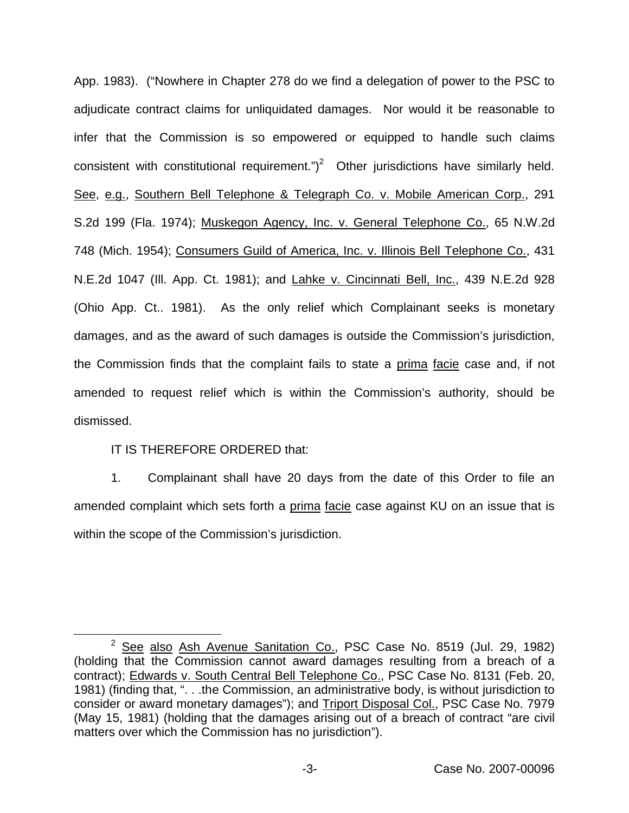App. 1983). ("Nowhere in Chapter 278 do we find a delegation of power to the PSC to adjudicate contract claims for unliquidated damages. Nor would it be reasonable to infer that the Commission is so empowered or equipped to handle such claims consistent with constitutional requirement.")<sup>2</sup> Other jurisdictions have similarly held. See, e.g., Southern Bell Telephone & Telegraph Co. v. Mobile American Corp., 291 S.2d 199 (Fla. 1974); Muskegon Agency, Inc. v. General Telephone Co., 65 N.W.2d 748 (Mich. 1954); Consumers Guild of America, Inc. v. Illinois Bell Telephone Co., 431 N.E.2d 1047 (Ill. App. Ct. 1981); and Lahke v. Cincinnati Bell, Inc., 439 N.E.2d 928 (Ohio App. Ct.. 1981). As the only relief which Complainant seeks is monetary damages, and as the award of such damages is outside the Commission's jurisdiction, the Commission finds that the complaint fails to state a prima facie case and, if not amended to request relief which is within the Commission's authority, should be dismissed.

## IT IS THEREFORE ORDERED that:

1. Complainant shall have 20 days from the date of this Order to file an amended complaint which sets forth a prima facie case against KU on an issue that is within the scope of the Commission's jurisdiction.

<sup>&</sup>lt;sup>2</sup> See also Ash Avenue Sanitation Co., PSC Case No. 8519 (Jul. 29, 1982) (holding that the Commission cannot award damages resulting from a breach of a contract); Edwards v. South Central Bell Telephone Co., PSC Case No. 8131 (Feb. 20, 1981) (finding that, ". . .the Commission, an administrative body, is without jurisdiction to consider or award monetary damages"); and Triport Disposal Col., PSC Case No. 7979 (May 15, 1981) (holding that the damages arising out of a breach of contract "are civil matters over which the Commission has no jurisdiction").